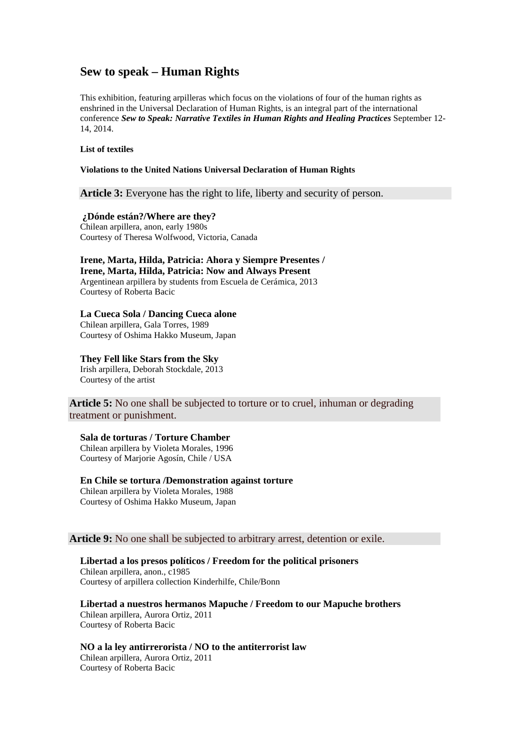# **Sew to speak – Human Rights**

This exhibition, featuring arpilleras which focus on the violations of four of the human rights as enshrined in the Universal Declaration of Human Rights, is an integral part of the international conference *Sew to Speak: Narrative Textiles in Human Rights and Healing Practices* September 12- 14, 2014.

#### **List of textiles**

#### **Violations to the United Nations Universal Declaration of Human Rights**

## **Article 3:** Everyone has the right to life, liberty and security of person.

#### **¿Dónde están?/Where are they?**

Chilean arpillera, anon, early 1980s Courtesy of Theresa Wolfwood, Victoria, Canada

## **Irene, Marta, Hilda, Patricia: Ahora y Siempre Presentes / Irene, Marta, Hilda, Patricia: Now and Always Present** Argentinean arpillera by students from Escuela de Cerámica, 2013

Courtesy of Roberta Bacic

# **La Cueca Sola / Dancing Cueca alone**

Chilean arpillera, Gala Torres, 1989 Courtesy of Oshima Hakko Museum, Japan

#### **They Fell like Stars from the Sky**  Irish arpillera, Deborah Stockdale, 2013

Courtesy of the artist

**Article 5:** No one shall be subjected to torture or to cruel, inhuman or degrading treatment or punishment.

## **Sala de torturas / Torture Chamber**

Chilean arpillera by Violeta Morales, 1996 Courtesy of Marjorie Agosín, Chile / USA

### **En Chile se tortura /Demonstration against torture**

Chilean arpillera by Violeta Morales, 1988 Courtesy of Oshima Hakko Museum, Japan

## **Article 9:** No one shall be subjected to arbitrary arrest, detention or exile.

# **Libertad a los presos políticos / Freedom for the political prisoners**

Chilean arpillera, anon., c1985 Courtesy of arpillera collection Kinderhilfe, Chile/Bonn

### **Libertad a nuestros hermanos Mapuche / Freedom to our Mapuche brothers**

Chilean arpillera, Aurora Ortiz, 2011 Courtesy of Roberta Bacic

## **NO a la ley antirrerorista / NO to the antiterrorist law**

Chilean arpillera, Aurora Ortiz, 2011 Courtesy of Roberta Bacic